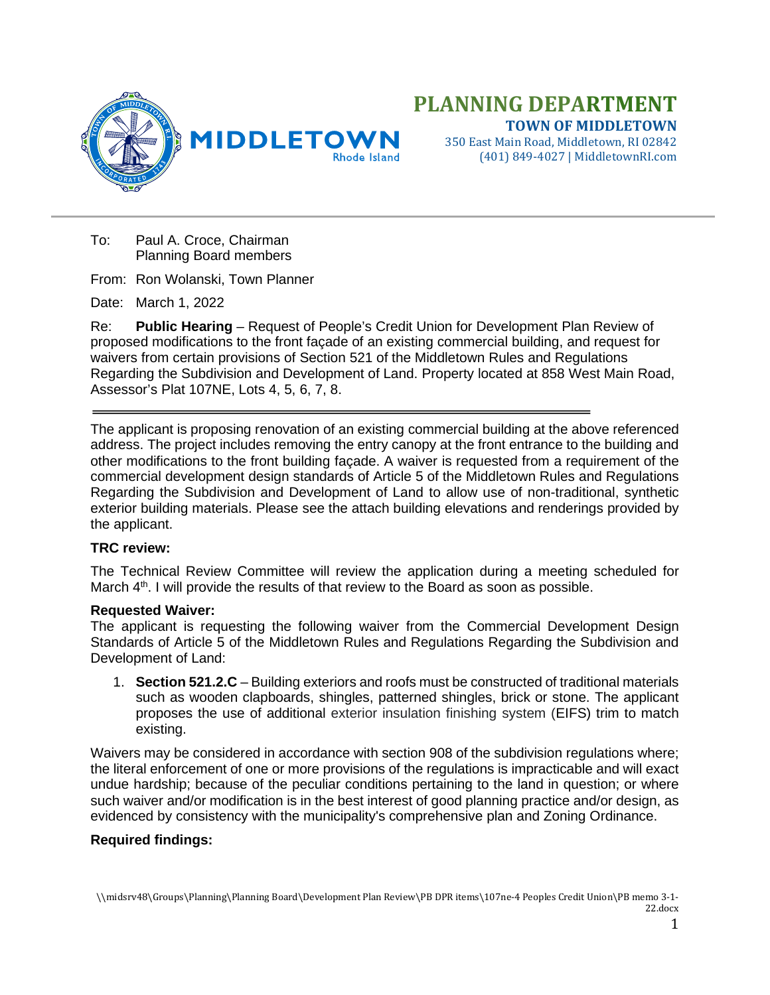



350 East Main Road, Middletown, RI 02842 (401) 849-4027 | MiddletownRI.com

To: Paul A. Croce, Chairman Planning Board members

From: Ron Wolanski, Town Planner

Date: March 1, 2022

Re: **Public Hearing** – Request of People's Credit Union for Development Plan Review of proposed modifications to the front façade of an existing commercial building, and request for waivers from certain provisions of Section 521 of the Middletown Rules and Regulations Regarding the Subdivision and Development of Land. Property located at 858 West Main Road, Assessor's Plat 107NE, Lots 4, 5, 6, 7, 8.

The applicant is proposing renovation of an existing commercial building at the above referenced address. The project includes removing the entry canopy at the front entrance to the building and other modifications to the front building façade. A waiver is requested from a requirement of the commercial development design standards of Article 5 of the Middletown Rules and Regulations Regarding the Subdivision and Development of Land to allow use of non-traditional, synthetic exterior building materials. Please see the attach building elevations and renderings provided by the applicant.

## **TRC review:**

The Technical Review Committee will review the application during a meeting scheduled for March 4<sup>th</sup>. I will provide the results of that review to the Board as soon as possible.

## **Requested Waiver:**

The applicant is requesting the following waiver from the Commercial Development Design Standards of Article 5 of the Middletown Rules and Regulations Regarding the Subdivision and Development of Land:

1. **Section 521.2.C** – Building exteriors and roofs must be constructed of traditional materials such as wooden clapboards, shingles, patterned shingles, brick or stone. The applicant proposes the use of additional exterior insulation finishing system (EIFS) trim to match existing.

Waivers may be considered in accordance with section 908 of the subdivision regulations where; the literal enforcement of one or more provisions of the regulations is impracticable and will exact undue hardship; because of the peculiar conditions pertaining to the land in question; or where such waiver and/or modification is in the best interest of good planning practice and/or design, as evidenced by consistency with the municipality's comprehensive plan and Zoning Ordinance.

## **Required findings:**